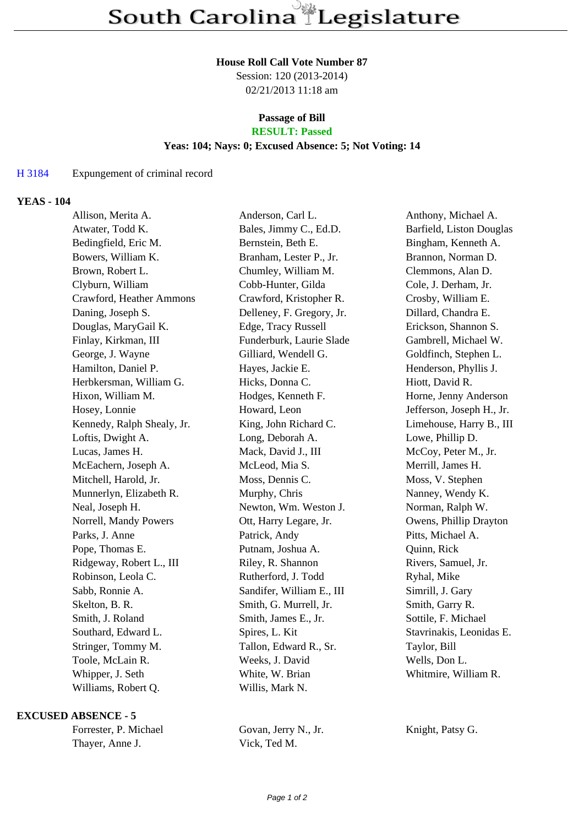#### **House Roll Call Vote Number 87**

Session: 120 (2013-2014) 02/21/2013 11:18 am

# **Passage of Bill**

## **RESULT: Passed**

### **Yeas: 104; Nays: 0; Excused Absence: 5; Not Voting: 14**

#### H 3184 Expungement of criminal record

#### **YEAS - 104**

| Allison, Merita A.         | Anderson, Carl L.         | Anthony, Michael A.       |
|----------------------------|---------------------------|---------------------------|
| Atwater, Todd K.           | Bales, Jimmy C., Ed.D.    | Barfield, Liston Douglas  |
| Bedingfield, Eric M.       | Bernstein, Beth E.        | Bingham, Kenneth A.       |
| Bowers, William K.         | Branham, Lester P., Jr.   | Brannon, Norman D.        |
| Brown, Robert L.           | Chumley, William M.       | Clemmons, Alan D.         |
| Clyburn, William           | Cobb-Hunter, Gilda        | Cole, J. Derham, Jr.      |
| Crawford, Heather Ammons   | Crawford, Kristopher R.   | Crosby, William E.        |
| Daning, Joseph S.          | Delleney, F. Gregory, Jr. | Dillard, Chandra E.       |
| Douglas, MaryGail K.       | Edge, Tracy Russell       | Erickson, Shannon S.      |
| Finlay, Kirkman, III       | Funderburk, Laurie Slade  | Gambrell, Michael W.      |
| George, J. Wayne           | Gilliard, Wendell G.      | Goldfinch, Stephen L.     |
| Hamilton, Daniel P.        | Hayes, Jackie E.          | Henderson, Phyllis J.     |
| Herbkersman, William G.    | Hicks, Donna C.           | Hiott, David R.           |
| Hixon, William M.          | Hodges, Kenneth F.        | Horne, Jenny Anderson     |
| Hosey, Lonnie              | Howard, Leon              | Jefferson, Joseph H., Jr. |
| Kennedy, Ralph Shealy, Jr. | King, John Richard C.     | Limehouse, Harry B., III  |
| Loftis, Dwight A.          | Long, Deborah A.          | Lowe, Phillip D.          |
| Lucas, James H.            | Mack, David J., III       | McCoy, Peter M., Jr.      |
| McEachern, Joseph A.       | McLeod, Mia S.            | Merrill, James H.         |
| Mitchell, Harold, Jr.      | Moss, Dennis C.           | Moss, V. Stephen          |
| Munnerlyn, Elizabeth R.    | Murphy, Chris             | Nanney, Wendy K.          |
| Neal, Joseph H.            | Newton, Wm. Weston J.     | Norman, Ralph W.          |
| Norrell, Mandy Powers      | Ott, Harry Legare, Jr.    | Owens, Phillip Drayton    |
| Parks, J. Anne             | Patrick, Andy             | Pitts, Michael A.         |
| Pope, Thomas E.            | Putnam, Joshua A.         | Quinn, Rick               |
| Ridgeway, Robert L., III   | Riley, R. Shannon         | Rivers, Samuel, Jr.       |
| Robinson, Leola C.         | Rutherford, J. Todd       | Ryhal, Mike               |
| Sabb, Ronnie A.            | Sandifer, William E., III | Simrill, J. Gary          |
| Skelton, B. R.             | Smith, G. Murrell, Jr.    | Smith, Garry R.           |
| Smith, J. Roland           | Smith, James E., Jr.      | Sottile, F. Michael       |
| Southard, Edward L.        | Spires, L. Kit            | Stavrinakis, Leonidas E.  |
| Stringer, Tommy M.         | Tallon, Edward R., Sr.    | Taylor, Bill              |
| Toole, McLain R.           | Weeks, J. David           | Wells, Don L.             |
| Whipper, J. Seth           | White, W. Brian           | Whitmire, William R.      |
| Williams, Robert Q.        | Willis, Mark N.           |                           |
|                            |                           |                           |

#### **EXCUSED ABSENCE - 5**

Thayer, Anne J. Vick, Ted M.

Forrester, P. Michael Govan, Jerry N., Jr. Knight, Patsy G.